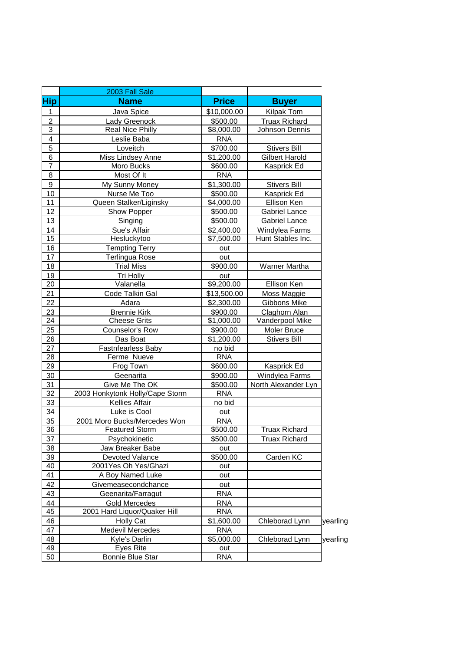|                         | 2003 Fall Sale                  |              |                       |          |
|-------------------------|---------------------------------|--------------|-----------------------|----------|
| <b>Hip</b>              | <b>Name</b>                     | <b>Price</b> | <b>Buyer</b>          |          |
| $\mathbf{1}$            | Java Spice                      | \$10,000.00  | <b>Kilpak Tom</b>     |          |
| $\overline{c}$          | Lady Greenock                   | \$500.00     | <b>Truax Richard</b>  |          |
| $\overline{3}$          | Real Nice Philly                | \$8,000.00   | Johnson Dennis        |          |
| $\overline{\mathbf{4}}$ | Leslie Baba                     | <b>RNA</b>   |                       |          |
| 5                       | Loveitch                        | \$700.00     | <b>Stivers Bill</b>   |          |
| 6                       | Miss Lindsey Anne               | \$1,200.00   | <b>Gilbert Harold</b> |          |
| $\overline{7}$          | Moro Bucks                      | \$600.00     | Kasprick Ed           |          |
| 8                       | Most Of It                      | <b>RNA</b>   |                       |          |
| $\boldsymbol{9}$        | My Sunny Money                  | \$1,300.00   | <b>Stivers Bill</b>   |          |
| 10                      | Nurse Me Too                    | \$500.00     | Kasprick Ed           |          |
| 11                      | Queen Stalker/Liginsky          | \$4,000.00   | Ellison Ken           |          |
| 12                      | Show Popper                     | \$500.00     | <b>Gabriel Lance</b>  |          |
| 13                      | Singing                         | \$500.00     | Gabriel Lance         |          |
| 14                      | Sue's Affair                    | \$2,400.00   | Windylea Farms        |          |
| 15                      | Hesluckytoo                     | \$7,500.00   | Hunt Stables Inc.     |          |
| 16                      | <b>Tempting Terry</b>           | out          |                       |          |
| 17                      | Terlingua Rose                  | out          |                       |          |
| 18                      | <b>Trial Miss</b>               | \$900.00     | Warner Martha         |          |
| 19                      | Tri Holly                       | out          |                       |          |
| 20                      | Valanella                       | \$9,200.00   | Ellison Ken           |          |
| 21                      | Code Talkin Gal                 | \$13,500.00  | Moss Maggie           |          |
| 22                      | Adara                           | \$2,300.00   | Gibbons Mike          |          |
| 23                      | <b>Brennie Kirk</b>             | \$900.00     | Claghorn Alan         |          |
| 24                      | <b>Cheese Grits</b>             | \$1,000.00   | Vanderpool Mike       |          |
| 25                      | Counselor's Row                 | \$900.00     | Moler Bruce           |          |
| 26                      | Das Boat                        | \$1,200.00   | <b>Stivers Bill</b>   |          |
| 27                      | Fastnfearless Baby              | no bid       |                       |          |
| 28                      | Ferme Nueve                     | <b>RNA</b>   |                       |          |
| 29                      | Frog Town                       | \$600.00     | Kasprick Ed           |          |
| 30                      | Geenarita                       | \$900.00     | Windylea Farms        |          |
| 31                      | Give Me The OK                  | \$500.00     | North Alexander Lyn   |          |
| 32                      | 2003 Honkytonk Holly/Cape Storm | <b>RNA</b>   |                       |          |
| 33                      | Kellies Affair                  | no bid       |                       |          |
| 34                      | Luke is Cool                    | out          |                       |          |
| 35                      | 2001 Moro Bucks/Mercedes Won    | <b>RNA</b>   |                       |          |
| 36                      | <b>Featured Storm</b>           | \$500.00     | <b>Truax Richard</b>  |          |
| 37                      | Psychokinetic                   | \$500.00     | <b>Truax Richard</b>  |          |
| 38                      | Jaw Breaker Babe                | out          |                       |          |
| 39                      | Devoted Valance                 | \$500.00     | Carden KC             |          |
| 40                      | 2001Yes Oh Yes/Ghazi            | out          |                       |          |
| 41                      | A Boy Named Luke                | out          |                       |          |
| 42                      | Givemeasecondchance             | out          |                       |          |
| 43                      | Geenarita/Farragut              | <b>RNA</b>   |                       |          |
| 44                      | <b>Gold Mercedes</b>            | <b>RNA</b>   |                       |          |
| 45                      | 2001 Hard Liquor/Quaker Hill    | <b>RNA</b>   |                       |          |
| 46                      | <b>Holly Cat</b>                | \$1,600.00   | Chleborad Lynn        | yearling |
| 47                      | Medevil Mercedes                | <b>RNA</b>   |                       |          |
| 48<br>49                | <b>Kyle's Darlin</b>            | \$5,000.00   | <b>Chleborad Lynn</b> | yearling |
|                         | <b>Eyes Rite</b>                | out          |                       |          |
| 50                      | <b>Bonnie Blue Star</b>         | <b>RNA</b>   |                       |          |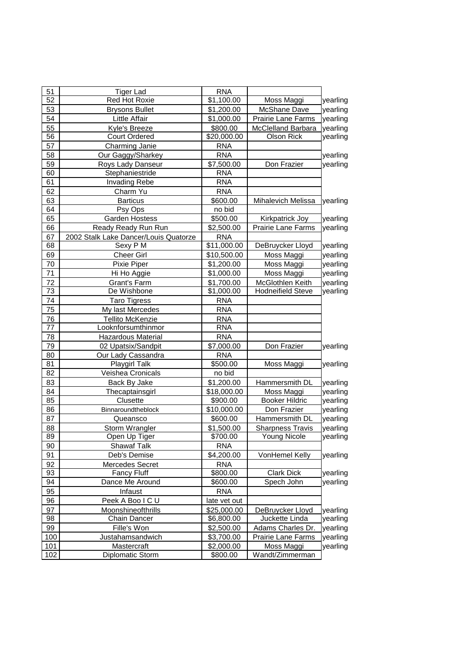| 51  | <b>Tiger Lad</b>                      | <b>RNA</b>             |                           |          |
|-----|---------------------------------------|------------------------|---------------------------|----------|
| 52  | Red Hot Roxie                         | \$1,100.00             | Moss Maggi                | yearling |
| 53  | <b>Brysons Bullet</b>                 | \$1,200.00             | McShane Dave              | yearling |
| 54  | Little Affair                         | \$1,000.00             | Prairie Lane Farms        | yearling |
| 55  | Kyle's Breeze                         | \$800.00               | <b>McClelland Barbara</b> | yearling |
| 56  | <b>Court Ordered</b>                  | \$20,000.00            | Olson Rick                | yearling |
| 57  | Charming Janie                        | <b>RNA</b>             |                           |          |
| 58  | Our Gaggy/Sharkey                     | <b>RNA</b>             |                           | yearling |
| 59  | Roys Lady Danseur                     | \$7,500.00             | Don Frazier               | yearling |
| 60  | Stephaniestride                       | <b>RNA</b>             |                           |          |
| 61  | Invading Rebe                         | <b>RNA</b>             |                           |          |
| 62  | Charm Yu                              | <b>RNA</b>             |                           |          |
| 63  | <b>Barticus</b>                       | \$600.00               | <b>Mihalevich Melissa</b> | yearling |
| 64  | Psy Ops                               | no bid                 |                           |          |
| 65  | Garden Hostess                        | \$500.00               | Kirkpatrick Joy           | yearling |
| 66  | Ready Ready Run Run                   | \$2,500.00             | Prairie Lane Farms        | yearling |
| 67  | 2002 Stalk Lake Dancer/Louis Quatorze | <b>RNA</b>             |                           |          |
| 68  | Sexy P M                              | \$11,000.00            | DeBruycker Lloyd          | yearling |
| 69  | <b>Cheer Girl</b>                     | \$10,500.00            | Moss Maggi                | yearling |
| 70  | Pixie Piper                           | \$1,200.00             | Moss Maggi                | yearling |
| 71  | Hi Ho Aggie                           | \$1,000.00             | Moss Maggi                | yearling |
| 72  | Grant's Farm                          | \$1,700.00             | McGlothlen Keith          | yearling |
| 73  | De Wishbone                           | \$1,000.00             | <b>Hodneifield Steve</b>  | yearling |
| 74  | <b>Taro Tigress</b>                   | <b>RNA</b>             |                           |          |
| 75  | My last Mercedes                      | <b>RNA</b>             |                           |          |
| 76  | Tellito McKenzie                      | <b>RNA</b>             |                           |          |
| 77  | Looknforsumthinmor                    | <b>RNA</b>             |                           |          |
| 78  | <b>Hazardous Material</b>             | <b>RNA</b>             |                           |          |
| 79  | 02 Upatsix/Sandpit                    | \$7,000.00             | Don Frazier               | yearling |
| 80  | Our Lady Cassandra                    | <b>RNA</b>             |                           |          |
| 81  | <b>Playgirl Talk</b>                  | \$500.00               | Moss Maggi                | yearling |
| 82  | Veishea Cronicals                     | no bid                 |                           |          |
| 83  | Back By Jake                          | \$1,200.00             | Hammersmith DL            | yearling |
| 84  | Thecaptainsgirl                       | \$18,000.00            | Moss Maggi                | yearling |
| 85  | Clusette                              | \$900.00               | <b>Booker Hildric</b>     | yearling |
| 86  | Binnaroundtheblock                    | \$10,000.00            | Don Frazier               | yearling |
| 87  | Queansco                              | \$600.00               | Hammersmith DL            | yearling |
| 88  | Storm Wrangler                        | \$1,500.00             | <b>Sharpness Travis</b>   | yearling |
| 89  | Open Up Tiger                         | \$700.00               | <b>Young Nicole</b>       | yearling |
| 90  | <b>Shawaf Talk</b>                    | <b>RNA</b>             |                           |          |
| 91  | Deb's Demise                          | $\overline{$4,200.00}$ | VonHemel Kelly            | yearling |
| 92  | Mercedes Secret                       | <b>RNA</b>             |                           |          |
| 93  | <b>Fancy Fluff</b>                    | \$800.00               | <b>Clark Dick</b>         | yearling |
| 94  | Dance Me Around                       | \$600.00               | Spech John                | yearling |
| 95  | Infaust                               | <b>RNA</b>             |                           |          |
| 96  | Peek A Boo I C U                      | late vet out           |                           |          |
| 97  | Moonshineofthrills                    | \$25,000.00            | DeBruycker Lloyd          | yearling |
| 98  | Chain Dancer                          | \$6,800.00             | Juckette Linda            | yearling |
| 99  | Fille's Won                           | \$2,500.00             | Adams Charles Dr.         | yearling |
| 100 | Justahamsandwich                      | \$3,700.00             | Prairie Lane Farms        | yearling |
| 101 | Mastercraft                           | \$2,000.00             | Moss Maggi                | yearling |
| 102 | Diplomatic Storm                      | \$800.00               | Wandt/Zimmerman           |          |